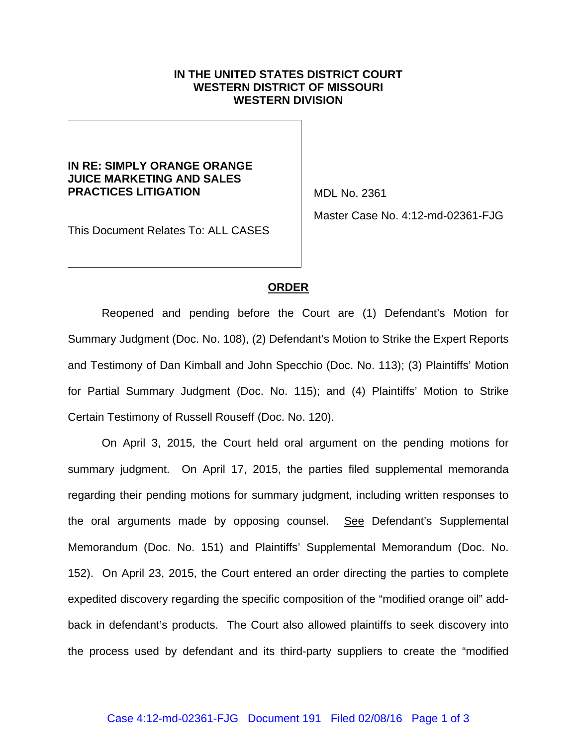## **IN THE UNITED STATES DISTRICT COURT WESTERN DISTRICT OF MISSOURI WESTERN DIVISION**

## **IN RE: SIMPLY ORANGE ORANGE JUICE MARKETING AND SALES PRACTICES LITIGATION**

MDL No. 2361

This Document Relates To: ALL CASES

Master Case No. 4:12-md-02361-FJG

## **ORDER**

Reopened and pending before the Court are (1) Defendant's Motion for Summary Judgment (Doc. No. 108), (2) Defendant's Motion to Strike the Expert Reports and Testimony of Dan Kimball and John Specchio (Doc. No. 113); (3) Plaintiffs' Motion for Partial Summary Judgment (Doc. No. 115); and (4) Plaintiffs' Motion to Strike Certain Testimony of Russell Rouseff (Doc. No. 120).

On April 3, 2015, the Court held oral argument on the pending motions for summary judgment. On April 17, 2015, the parties filed supplemental memoranda regarding their pending motions for summary judgment, including written responses to the oral arguments made by opposing counsel. See Defendant's Supplemental Memorandum (Doc. No. 151) and Plaintiffs' Supplemental Memorandum (Doc. No. 152). On April 23, 2015, the Court entered an order directing the parties to complete expedited discovery regarding the specific composition of the "modified orange oil" addback in defendant's products. The Court also allowed plaintiffs to seek discovery into the process used by defendant and its third-party suppliers to create the "modified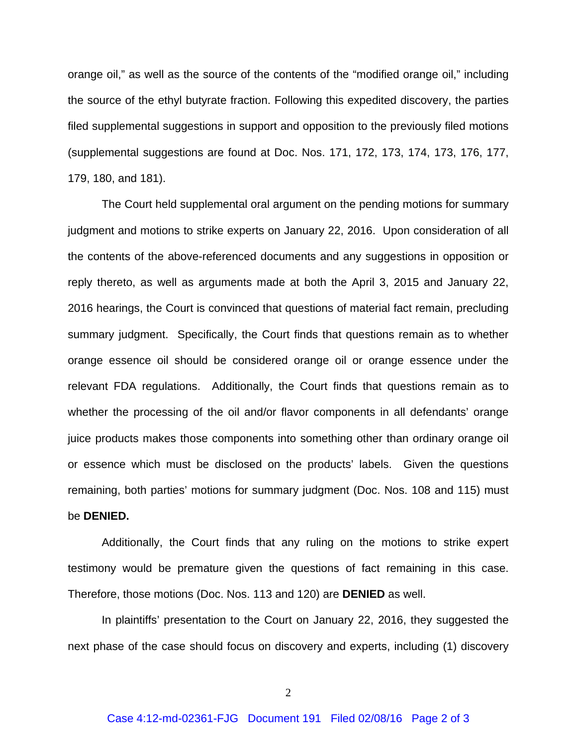orange oil," as well as the source of the contents of the "modified orange oil," including the source of the ethyl butyrate fraction. Following this expedited discovery, the parties filed supplemental suggestions in support and opposition to the previously filed motions (supplemental suggestions are found at Doc. Nos. 171, 172, 173, 174, 173, 176, 177, 179, 180, and 181).

The Court held supplemental oral argument on the pending motions for summary judgment and motions to strike experts on January 22, 2016. Upon consideration of all the contents of the above-referenced documents and any suggestions in opposition or reply thereto, as well as arguments made at both the April 3, 2015 and January 22, 2016 hearings, the Court is convinced that questions of material fact remain, precluding summary judgment. Specifically, the Court finds that questions remain as to whether orange essence oil should be considered orange oil or orange essence under the relevant FDA regulations. Additionally, the Court finds that questions remain as to whether the processing of the oil and/or flavor components in all defendants' orange juice products makes those components into something other than ordinary orange oil or essence which must be disclosed on the products' labels. Given the questions remaining, both parties' motions for summary judgment (Doc. Nos. 108 and 115) must be **DENIED.**

Additionally, the Court finds that any ruling on the motions to strike expert testimony would be premature given the questions of fact remaining in this case. Therefore, those motions (Doc. Nos. 113 and 120) are **DENIED** as well.

In plaintiffs' presentation to the Court on January 22, 2016, they suggested the next phase of the case should focus on discovery and experts, including (1) discovery